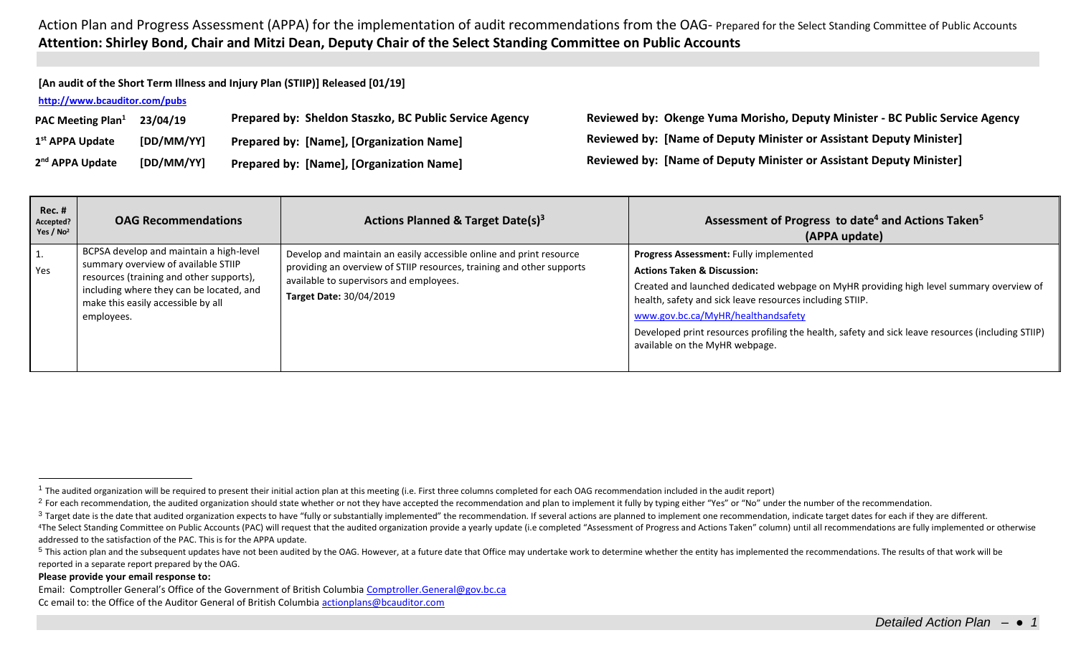**[An audit of the Short Term Illness and Injury Plan (STIIP)] Released [01/19]**

## **<http://www.bcauditor.com/pubs>**

| PAC Meeting Plan <sup>1</sup> | 23/04/19   | Prepared by: Sheldon Staszko, BC Public Service Agency |
|-------------------------------|------------|--------------------------------------------------------|
| 1 <sup>st</sup> APPA Update   | [DD/MM/YY] | <b>Prepared by: [Name], [Organization Name]</b>        |
| 2 <sup>nd</sup> APPA Update   | [DD/MM/YY] | <b>Prepared by: [Name], [Organization Name]</b>        |

**PAC Meeting Plan<sup>1</sup> 23/04/19 Prepared by: Sheldon Staszko, BC Public Service Agency Reviewed by: Okenge Yuma Morisho, Deputy Minister - BC Public Service Agency st APPA Update [DD/MM/YY] Prepared by: [Name], [Organization Name] Reviewed by: [Name of Deputy Minister or Assistant Deputy Minister] Reviewed by: [Name of Deputy Minister or Assistant Deputy Minister]** 

| <b>Rec. #</b><br>Accepted?<br>Yes / $No2$ | <b>OAG Recommendations</b>                                                                                                                                                                                                 | Actions Planned & Target Date(s) <sup>3</sup>                                                                                                                                                                             | Assessment of Progress to date <sup>4</sup> and Actions Taken <sup>5</sup><br>(APPA update)                                                                                                                                                                                                                                                                                                                          |
|-------------------------------------------|----------------------------------------------------------------------------------------------------------------------------------------------------------------------------------------------------------------------------|---------------------------------------------------------------------------------------------------------------------------------------------------------------------------------------------------------------------------|----------------------------------------------------------------------------------------------------------------------------------------------------------------------------------------------------------------------------------------------------------------------------------------------------------------------------------------------------------------------------------------------------------------------|
| 1.<br>Yes                                 | BCPSA develop and maintain a high-level<br>summary overview of available STIIP<br>resources (training and other supports),<br>including where they can be located, and<br>make this easily accessible by all<br>employees. | Develop and maintain an easily accessible online and print resource<br>providing an overview of STIIP resources, training and other supports<br>available to supervisors and employees.<br><b>Target Date: 30/04/2019</b> | Progress Assessment: Fully implemented<br><b>Actions Taken &amp; Discussion:</b><br>Created and launched dedicated webpage on MyHR providing high level summary overview of<br>health, safety and sick leave resources including STIIP.<br>www.gov.bc.ca/MyHR/healthandsafety<br>Developed print resources profiling the health, safety and sick leave resources (including STIIP)<br>available on the MyHR webpage. |

## **Please provide your email response to:**

 $\overline{a}$ 

Email: Comptroller General's Office of the Government of British Columbia [Comptroller.General@gov.bc.ca](mailto:Comptroller.General@gov.bc.ca) Cc email to: the Office of the Auditor General of British Columbi[a actionplans@bcauditor.com](mailto:actionplans@bcauditor.com)

 $1$  The audited organization will be required to present their initial action plan at this meeting (i.e. First three columns completed for each OAG recommendation included in the audit report)

<sup>&</sup>lt;sup>2</sup> For each recommendation, the audited organization should state whether or not they have accepted the recommendation and plan to implement it fully by typing either "Yes" or "No" under the number of the recommendation.

<sup>&</sup>lt;sup>3</sup> Target date is the date that audited organization expects to have "fully or substantially implemented" the recommendation. If several actions are planned to implement one recommendation, indicate target dates for each

<sup>&</sup>lt;sup>4</sup>The Select Standing Committee on Public Accounts (PAC) will request that the audited organization provide a yearly update (i.e completed "Assessment of Progress and Actions Taken" column) until all recommendations are f addressed to the satisfaction of the PAC. This is for the APPA update.

<sup>&</sup>lt;sup>5</sup> This action plan and the subsequent updates have not been audited by the OAG. However, at a future date that Office may undertake work to determine whether the entity has implemented the recommendations. The results of reported in a separate report prepared by the OAG.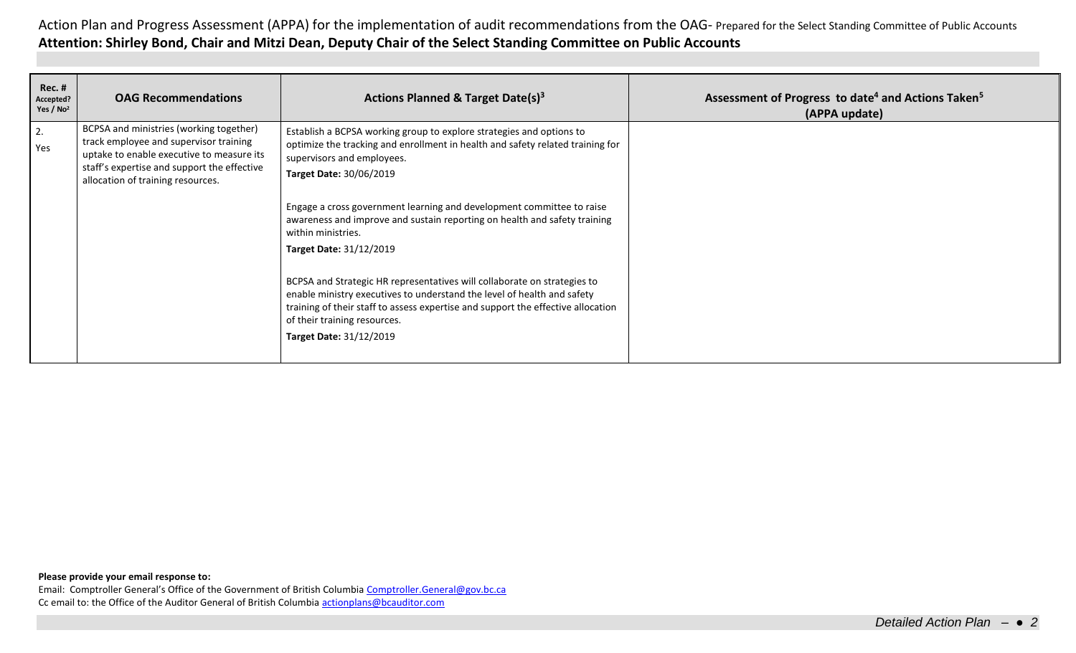| <b>Rec. #</b><br>Accepted?<br>Yes / $No2$ | <b>OAG Recommendations</b>                                                                                                                                                                                         | Actions Planned & Target Date(s) <sup>3</sup>                                                                                                                                                                                                                                                                                                                                                                                 | Assessment of Progress to date <sup>4</sup> and Actions Taken <sup>5</sup><br>(APPA update) |
|-------------------------------------------|--------------------------------------------------------------------------------------------------------------------------------------------------------------------------------------------------------------------|-------------------------------------------------------------------------------------------------------------------------------------------------------------------------------------------------------------------------------------------------------------------------------------------------------------------------------------------------------------------------------------------------------------------------------|---------------------------------------------------------------------------------------------|
| $\vert$ 2.<br>Yes                         | BCPSA and ministries (working together)<br>track employee and supervisor training<br>uptake to enable executive to measure its<br>staff's expertise and support the effective<br>allocation of training resources. | Establish a BCPSA working group to explore strategies and options to<br>optimize the tracking and enrollment in health and safety related training for<br>supervisors and employees.<br>Target Date: 30/06/2019<br>Engage a cross government learning and development committee to raise<br>awareness and improve and sustain reporting on health and safety training<br>within ministries.<br><b>Target Date: 31/12/2019</b> |                                                                                             |
|                                           |                                                                                                                                                                                                                    | BCPSA and Strategic HR representatives will collaborate on strategies to<br>enable ministry executives to understand the level of health and safety<br>training of their staff to assess expertise and support the effective allocation<br>of their training resources.<br><b>Target Date: 31/12/2019</b>                                                                                                                     |                                                                                             |

**Please provide your email response to:**

Email: Comptroller General's Office of the Government of British Columbia [Comptroller.General@gov.bc.ca](mailto:Comptroller.General@gov.bc.ca) Cc email to: the Office of the Auditor General of British Columbi[a actionplans@bcauditor.com](mailto:actionplans@bcauditor.com)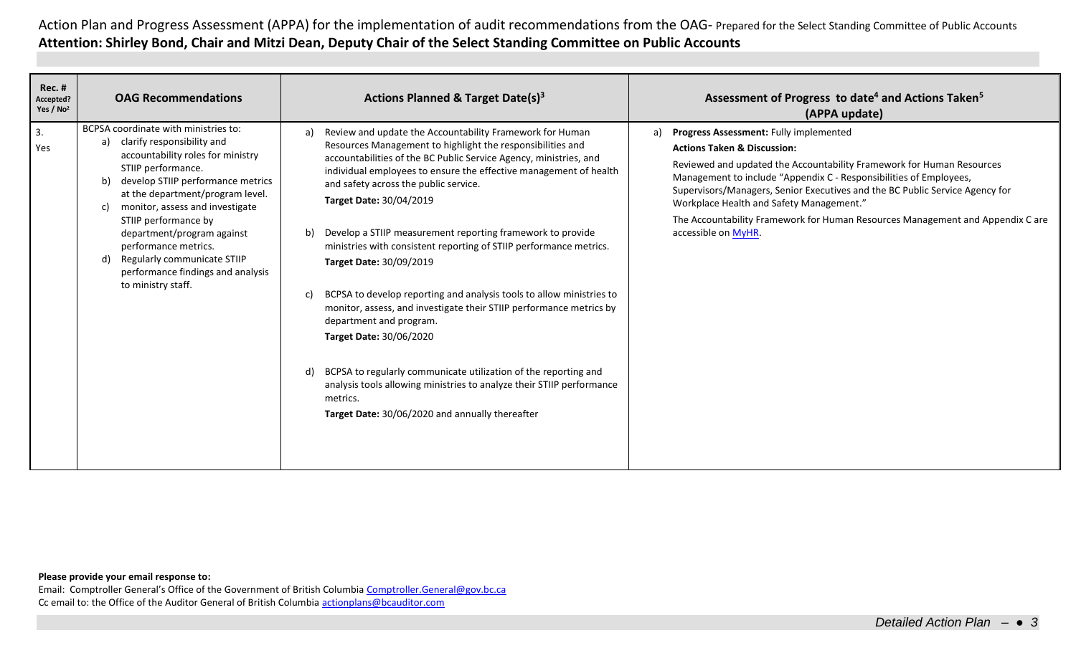| <b>Rec. #</b><br>Accepted?<br>Yes / $No2$ | <b>OAG Recommendations</b>                                                                                                                                                                                                                                                                                                                                                                                                          | Actions Planned & Target Date(s) <sup>3</sup>                                                                                                                                                                                                                                                                                                                                                                                                                                                                                                                                                                                                                                                                                                                                                                                                                                                                                         | Assessment of Progress to date <sup>4</sup> and Actions Taken <sup>5</sup><br>(APPA update)                                                                                                                                                                                                                                                                                                                                                                                |
|-------------------------------------------|-------------------------------------------------------------------------------------------------------------------------------------------------------------------------------------------------------------------------------------------------------------------------------------------------------------------------------------------------------------------------------------------------------------------------------------|---------------------------------------------------------------------------------------------------------------------------------------------------------------------------------------------------------------------------------------------------------------------------------------------------------------------------------------------------------------------------------------------------------------------------------------------------------------------------------------------------------------------------------------------------------------------------------------------------------------------------------------------------------------------------------------------------------------------------------------------------------------------------------------------------------------------------------------------------------------------------------------------------------------------------------------|----------------------------------------------------------------------------------------------------------------------------------------------------------------------------------------------------------------------------------------------------------------------------------------------------------------------------------------------------------------------------------------------------------------------------------------------------------------------------|
| 3.<br>Yes                                 | BCPSA coordinate with ministries to:<br>clarify responsibility and<br>a)<br>accountability roles for ministry<br>STIIP performance.<br>develop STIIP performance metrics<br>at the department/program level.<br>monitor, assess and investigate<br>C)<br>STIIP performance by<br>department/program against<br>performance metrics.<br>Regularly communicate STIIP<br>d)<br>performance findings and analysis<br>to ministry staff. | Review and update the Accountability Framework for Human<br>a)<br>Resources Management to highlight the responsibilities and<br>accountabilities of the BC Public Service Agency, ministries, and<br>individual employees to ensure the effective management of health<br>and safety across the public service.<br>Target Date: 30/04/2019<br>Develop a STIIP measurement reporting framework to provide<br>b)<br>ministries with consistent reporting of STIIP performance metrics.<br>Target Date: 30/09/2019<br>BCPSA to develop reporting and analysis tools to allow ministries to<br>monitor, assess, and investigate their STIIP performance metrics by<br>department and program.<br>Target Date: 30/06/2020<br>BCPSA to regularly communicate utilization of the reporting and<br>d)<br>analysis tools allowing ministries to analyze their STIIP performance<br>metrics.<br>Target Date: 30/06/2020 and annually thereafter | Progress Assessment: Fully implemented<br>a)<br><b>Actions Taken &amp; Discussion:</b><br>Reviewed and updated the Accountability Framework for Human Resources<br>Management to include "Appendix C - Responsibilities of Employees,<br>Supervisors/Managers, Senior Executives and the BC Public Service Agency for<br>Workplace Health and Safety Management."<br>The Accountability Framework for Human Resources Management and Appendix C are<br>accessible on MyHR. |

## **Please provide your email response to:**

Email: Comptroller General's Office of the Government of British Columbia [Comptroller.General@gov.bc.ca](mailto:Comptroller.General@gov.bc.ca) Cc email to: the Office of the Auditor General of British Columbi[a actionplans@bcauditor.com](mailto:actionplans@bcauditor.com)